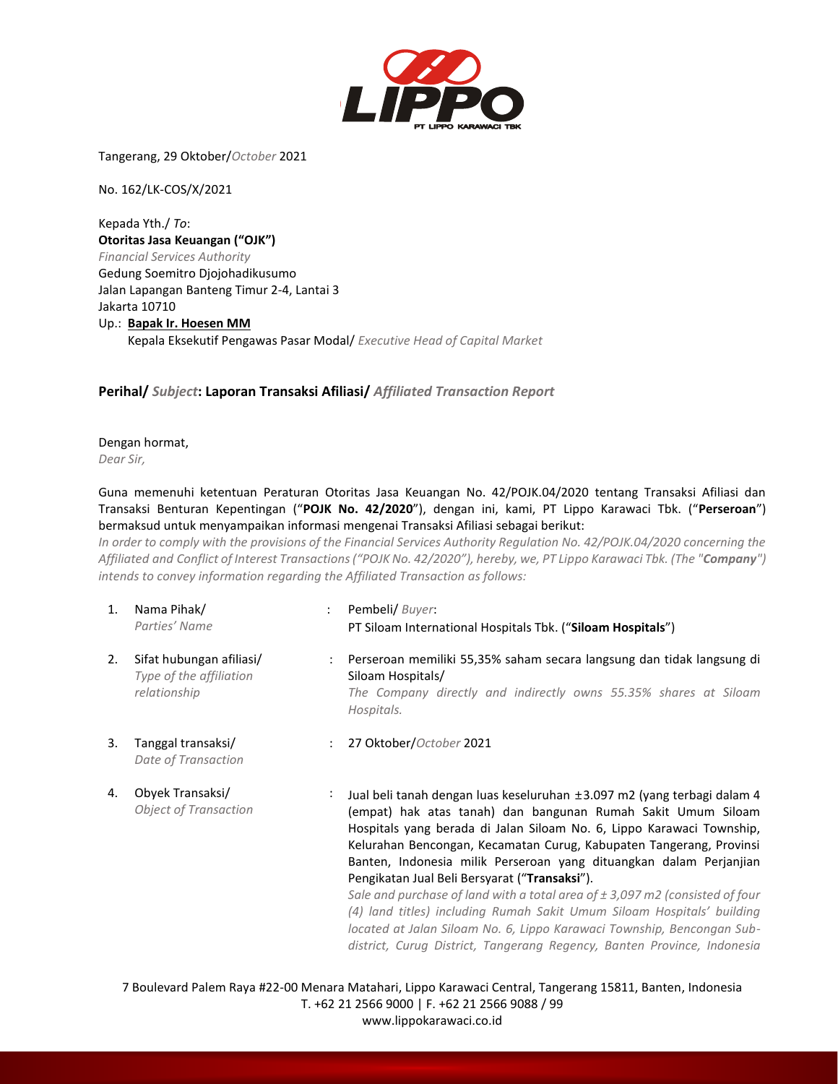

Tangerang, 29 Oktober/*October* 2021

No. 162/LK-COS/X/2021

Kepada Yth./ *To*: **Otoritas Jasa Keuangan ("OJK")**  *Financial Services Authority* Gedung Soemitro Djojohadikusumo Jalan Lapangan Banteng Timur 2-4, Lantai 3 Jakarta 10710 Up.: **Bapak Ir. Hoesen MM** Kepala Eksekutif Pengawas Pasar Modal/ *Executive Head of Capital Market*

## **Perihal/** *Subject***: Laporan Transaksi Afiliasi/** *Affiliated Transaction Report*

Dengan hormat, *Dear Sir,*

Guna memenuhi ketentuan Peraturan Otoritas Jasa Keuangan No. 42/POJK.04/2020 tentang Transaksi Afiliasi dan Transaksi Benturan Kepentingan ("**POJK No. 42/2020**"), dengan ini, kami, PT Lippo Karawaci Tbk. ("**Perseroan**") bermaksud untuk menyampaikan informasi mengenai Transaksi Afiliasi sebagai berikut:

*In order to comply with the provisions of the Financial Services Authority Regulation No. 42/POJK.04/2020 concerning the Affiliated and Conflict of Interest Transactions ("POJK No. 42/2020"), hereby, we, PT Lippo Karawaci Tbk. (The "Company") intends to convey information regarding the Affiliated Transaction as follows:*

- 1. Nama Pihak/ *Parties' Name* : Pembeli/ *Buyer*: PT Siloam International Hospitals Tbk. ("**Siloam Hospitals**")
- 2. Sifat hubungan afiliasi/ *Type of the affiliation relationship*
- 3. Tanggal transaksi/ *Date of Transaction*

4. Obyek Transaksi/

*Object of Transaction*

: Perseroan memiliki 55,35% saham secara langsung dan tidak langsung di Siloam Hospitals/

*The Company directly and indirectly owns 55.35% shares at Siloam Hospitals.*

: 27 Oktober/*October* 2021

: Jual beli tanah dengan luas keseluruhan ±3.097 m2 (yang terbagi dalam 4 (empat) hak atas tanah) dan bangunan Rumah Sakit Umum Siloam Hospitals yang berada di Jalan Siloam No. 6, Lippo Karawaci Township, Kelurahan Bencongan, Kecamatan Curug, Kabupaten Tangerang, Provinsi Banten, Indonesia milik Perseroan yang dituangkan dalam Perjanjian Pengikatan Jual Beli Bersyarat ("**Transaksi**").

*Sale and purchase of land with a total area of ± 3,097 m2 (consisted of four (4) land titles) including Rumah Sakit Umum Siloam Hospitals' building located at Jalan Siloam No. 6, Lippo Karawaci Township, Bencongan Subdistrict, Curug District, Tangerang Regency, Banten Province, Indonesia*

7 Boulevard Palem Raya #22-00 Menara Matahari, Lippo Karawaci Central, Tangerang 15811, Banten, Indonesia T. +62 21 2566 9000 | F. +62 21 2566 9088 / 99 www.lippokarawaci.co.id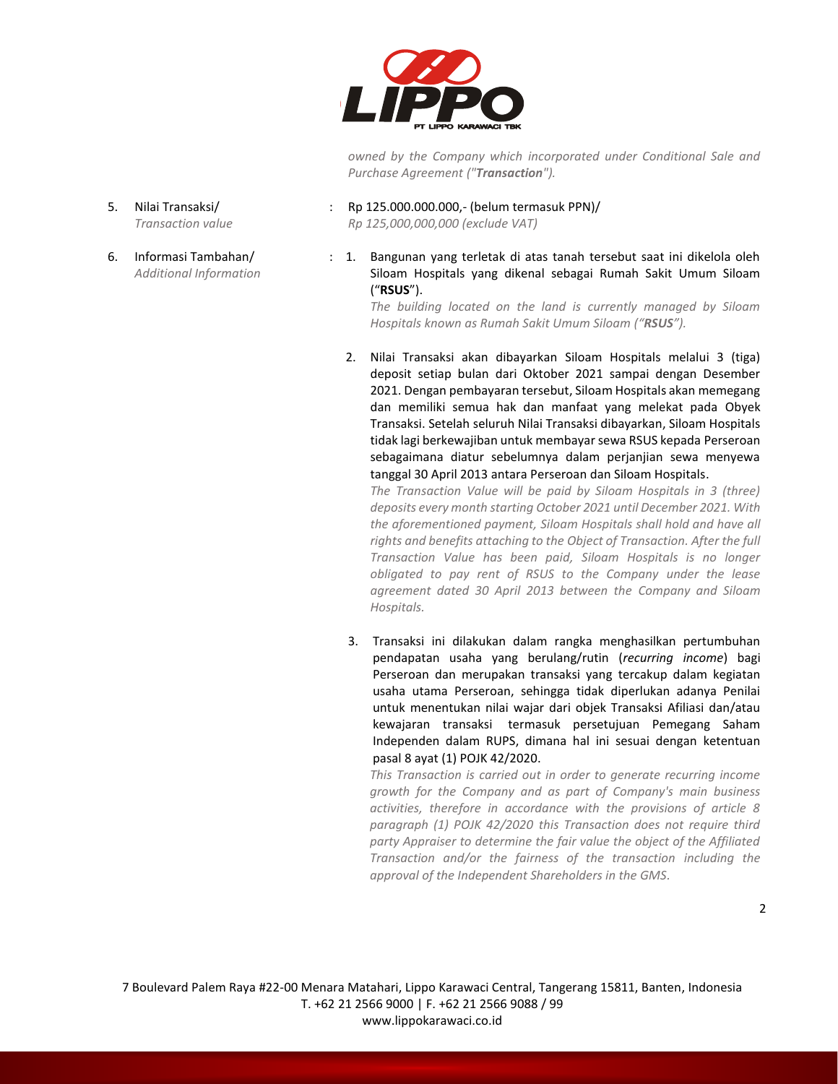

*owned by the Company which incorporated under Conditional Sale and Purchase Agreement ("Transaction").*

- 5. Nilai Transaksi/ *Transaction value*
- 6. Informasi Tambahan/ *Additional Information*

: Rp 125.000.000.000,- (belum termasuk PPN)/ *Rp 125,000,000,000 (exclude VAT)*

: 1. Bangunan yang terletak di atas tanah tersebut saat ini dikelola oleh Siloam Hospitals yang dikenal sebagai Rumah Sakit Umum Siloam ("**RSUS**").

*The building located on the land is currently managed by Siloam Hospitals known as Rumah Sakit Umum Siloam ("RSUS").*

2. Nilai Transaksi akan dibayarkan Siloam Hospitals melalui 3 (tiga) deposit setiap bulan dari Oktober 2021 sampai dengan Desember 2021. Dengan pembayaran tersebut, Siloam Hospitals akan memegang dan memiliki semua hak dan manfaat yang melekat pada Obyek Transaksi. Setelah seluruh Nilai Transaksi dibayarkan, Siloam Hospitals tidak lagi berkewajiban untuk membayar sewa RSUS kepada Perseroan sebagaimana diatur sebelumnya dalam perjanjian sewa menyewa tanggal 30 April 2013 antara Perseroan dan Siloam Hospitals.

*The Transaction Value will be paid by Siloam Hospitals in 3 (three) deposits every month starting October 2021 until December 2021. With the aforementioned payment, Siloam Hospitals shall hold and have all rights and benefits attaching to the Object of Transaction. After the full Transaction Value has been paid, Siloam Hospitals is no longer obligated to pay rent of RSUS to the Company under the lease agreement dated 30 April 2013 between the Company and Siloam Hospitals.*

3. Transaksi ini dilakukan dalam rangka menghasilkan pertumbuhan pendapatan usaha yang berulang/rutin (*recurring income*) bagi Perseroan dan merupakan transaksi yang tercakup dalam kegiatan usaha utama Perseroan, sehingga tidak diperlukan adanya Penilai untuk menentukan nilai wajar dari objek Transaksi Afiliasi dan/atau kewajaran transaksi termasuk persetujuan Pemegang Saham Independen dalam RUPS, dimana hal ini sesuai dengan ketentuan pasal 8 ayat (1) POJK 42/2020.

*This Transaction is carried out in order to generate recurring income growth for the Company and as part of Company's main business activities, therefore in accordance with the provisions of article 8 paragraph (1) POJK 42/2020 this Transaction does not require third party Appraiser to determine the fair value the object of the Affiliated Transaction and/or the fairness of the transaction including the approval of the Independent Shareholders in the GMS.*